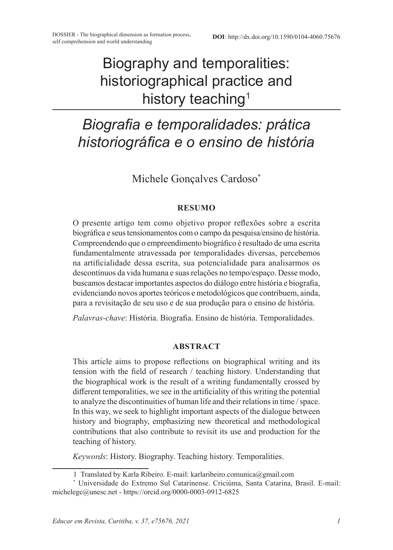# Biography and temporalities: historiographical practice and history teaching<sup>1</sup>

## *Biografia e temporalidades: prática historiográfica e o ensino de história*

Michele Gonçalves Cardoso\*

#### **RESUMO**

O presente artigo tem como objetivo propor reflexões sobre a escrita biográfica e seus tensionamentos com o campo da pesquisa/ensino de história. Compreendendo que o empreendimento biográfico é resultado de uma escrita fundamentalmente atravessada por temporalidades diversas, percebemos na artificialidade dessa escrita, sua potencialidade para analisarmos os descontínuos da vida humana e suas relações no tempo/espaço. Desse modo, buscamos destacar importantes aspectos do diálogo entre história e biografia, evidenciando novos aportes teóricos e metodológicos que contribuem, ainda, para a revisitação de seu uso e de sua produção para o ensino de história.

*Palavras-chave*: História. Biografia. Ensino de história. Temporalidades.

#### **ABSTRACT**

This article aims to propose reflections on biographical writing and its tension with the field of research / teaching history. Understanding that the biographical work is the result of a writing fundamentally crossed by different temporalities, we see in the artificiality of this writing the potential to analyze the discontinuities of human life and their relations in time / space. In this way, we seek to highlight important aspects of the dialogue between history and biography, emphasizing new theoretical and methodological contributions that also contribute to revisit its use and production for the teaching of history.

*Keywords*: History. Biography. Teaching history. Temporalities.

<sup>1</sup> Translated by Karla Ribeiro. E-mail: karlaribeiro.comunica@gmail.com

<sup>\*</sup> Universidade do Extremo Sul Catarinense. Criciúma, Santa Catarina, Brasil. E-mail: michelegc@unesc.net - https://orcid.org/0000-0003-0912-6825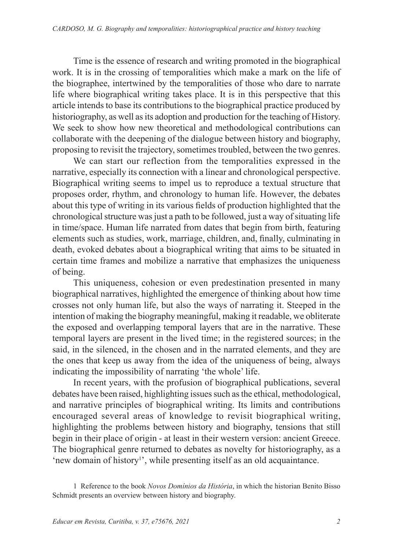Time is the essence of research and writing promoted in the biographical work. It is in the crossing of temporalities which make a mark on the life of the biographee, intertwined by the temporalities of those who dare to narrate life where biographical writing takes place. It is in this perspective that this article intends to base its contributions to the biographical practice produced by historiography, as well as its adoption and production for the teaching of History. We seek to show how new theoretical and methodological contributions can collaborate with the deepening of the dialogue between history and biography, proposing to revisit the trajectory, sometimes troubled, between the two genres.

We can start our reflection from the temporalities expressed in the narrative, especially its connection with a linear and chronological perspective. Biographical writing seems to impel us to reproduce a textual structure that proposes order, rhythm, and chronology to human life. However, the debates about this type of writing in its various fields of production highlighted that the chronological structure was just a path to be followed, just a way of situating life in time/space. Human life narrated from dates that begin from birth, featuring elements such as studies, work, marriage, children, and, finally, culminating in death, evoked debates about a biographical writing that aims to be situated in certain time frames and mobilize a narrative that emphasizes the uniqueness of being.

This uniqueness, cohesion or even predestination presented in many biographical narratives, highlighted the emergence of thinking about how time crosses not only human life, but also the ways of narrating it. Steeped in the intention of making the biography meaningful, making it readable, we obliterate the exposed and overlapping temporal layers that are in the narrative. These temporal layers are present in the lived time; in the registered sources; in the said, in the silenced, in the chosen and in the narrated elements, and they are the ones that keep us away from the idea of the uniqueness of being, always indicating the impossibility of narrating 'the whole' life.

In recent years, with the profusion of biographical publications, several debates have been raised, highlighting issues such as the ethical, methodological, and narrative principles of biographical writing. Its limits and contributions encouraged several areas of knowledge to revisit biographical writing, highlighting the problems between history and biography, tensions that still begin in their place of origin - at least in their western version: ancient Greece. The biographical genre returned to debates as novelty for historiography, as a 'new domain of history<sup>1</sup>', while presenting itself as an old acquaintance.

<sup>1</sup> Reference to the book *Novos Domínios da História*, in which the historian Benito Bisso Schmidt presents an overview between history and biography.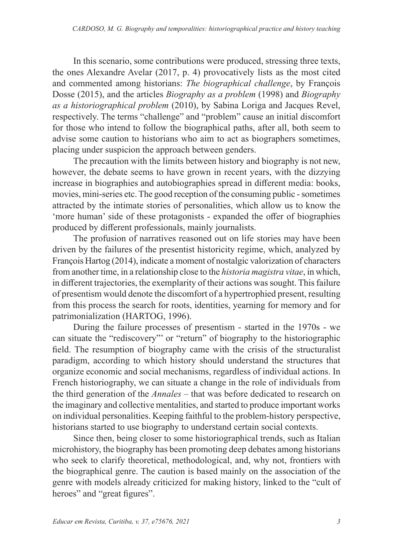In this scenario, some contributions were produced, stressing three texts, the ones Alexandre Avelar (2017, p. 4) provocatively lists as the most cited and commented among historians: *The biographical challenge*, by François Dosse (2015), and the articles *Biography as a problem* (1998) and *Biography as a historiographical problem* (2010), by Sabina Loriga and Jacques Revel, respectively. The terms "challenge" and "problem" cause an initial discomfort for those who intend to follow the biographical paths, after all, both seem to advise some caution to historians who aim to act as biographers sometimes, placing under suspicion the approach between genders.

The precaution with the limits between history and biography is not new, however, the debate seems to have grown in recent years, with the dizzying increase in biographies and autobiographies spread in different media: books, movies, mini-series etc. The good reception of the consuming public - sometimes attracted by the intimate stories of personalities, which allow us to know the 'more human' side of these protagonists - expanded the offer of biographies produced by different professionals, mainly journalists.

The profusion of narratives reasoned out on life stories may have been driven by the failures of the presentist historicity regime, which, analyzed by François Hartog (2014), indicate a moment of nostalgic valorization of characters from another time, in a relationship close to the *historia magistra vitae*, in which, in different trajectories, the exemplarity of their actions was sought. This failure of presentism would denote the discomfort of a hypertrophied present, resulting from this process the search for roots, identities, yearning for memory and for patrimonialization (HARTOG, 1996).

During the failure processes of presentism - started in the 1970s - we can situate the "rediscovery"' or "return" of biography to the historiographic field. The resumption of biography came with the crisis of the structuralist paradigm, according to which history should understand the structures that organize economic and social mechanisms, regardless of individual actions. In French historiography, we can situate a change in the role of individuals from the third generation of the *Annales* – that was before dedicated to research on the imaginary and collective mentalities, and started to produce important works on individual personalities. Keeping faithful to the problem-history perspective, historians started to use biography to understand certain social contexts.

Since then, being closer to some historiographical trends, such as Italian microhistory, the biography has been promoting deep debates among historians who seek to clarify theoretical, methodological, and, why not, frontiers with the biographical genre. The caution is based mainly on the association of the genre with models already criticized for making history, linked to the "cult of heroes" and "great figures".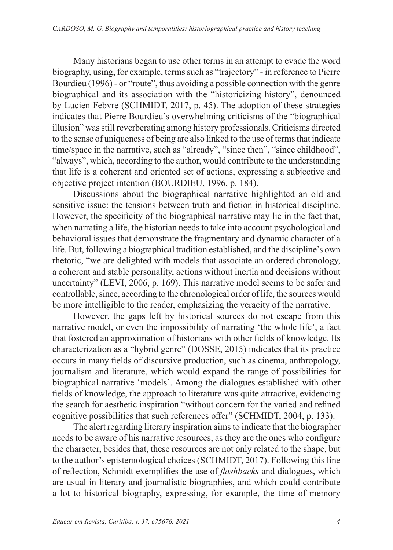Many historians began to use other terms in an attempt to evade the word biography, using, for example, terms such as "trajectory" - in reference to Pierre Bourdieu (1996) - or "route", thus avoiding a possible connection with the genre biographical and its association with the "historicizing history", denounced by Lucien Febvre (SCHMIDT, 2017, p. 45). The adoption of these strategies indicates that Pierre Bourdieu's overwhelming criticisms of the "biographical illusion" was still reverberating among history professionals. Criticisms directed to the sense of uniqueness of being are also linked to the use of terms that indicate time/space in the narrative, such as "already", "since then", "since childhood", "always", which, according to the author, would contribute to the understanding that life is a coherent and oriented set of actions, expressing a subjective and objective project intention (BOURDIEU, 1996, p. 184).

Discussions about the biographical narrative highlighted an old and sensitive issue: the tensions between truth and fiction in historical discipline. However, the specificity of the biographical narrative may lie in the fact that, when narrating a life, the historian needs to take into account psychological and behavioral issues that demonstrate the fragmentary and dynamic character of a life. But, following a biographical tradition established, and the discipline's own rhetoric, "we are delighted with models that associate an ordered chronology, a coherent and stable personality, actions without inertia and decisions without uncertainty" (LEVI, 2006, p. 169). This narrative model seems to be safer and controllable, since, according to the chronological order of life, the sources would be more intelligible to the reader, emphasizing the veracity of the narrative.

However, the gaps left by historical sources do not escape from this narrative model, or even the impossibility of narrating 'the whole life', a fact that fostered an approximation of historians with other fields of knowledge. Its characterization as a "hybrid genre" (DOSSE, 2015) indicates that its practice occurs in many fields of discursive production, such as cinema, anthropology, journalism and literature, which would expand the range of possibilities for biographical narrative 'models'. Among the dialogues established with other fields of knowledge, the approach to literature was quite attractive, evidencing the search for aesthetic inspiration "without concern for the varied and refined cognitive possibilities that such references offer" (SCHMIDT, 2004, p. 133).

The alert regarding literary inspiration aims to indicate that the biographer needs to be aware of his narrative resources, as they are the ones who configure the character, besides that, these resources are not only related to the shape, but to the author's epistemological choices (SCHMIDT, 2017). Following this line of reflection, Schmidt exemplifies the use of *flashbacks* and dialogues, which are usual in literary and journalistic biographies, and which could contribute a lot to historical biography, expressing, for example, the time of memory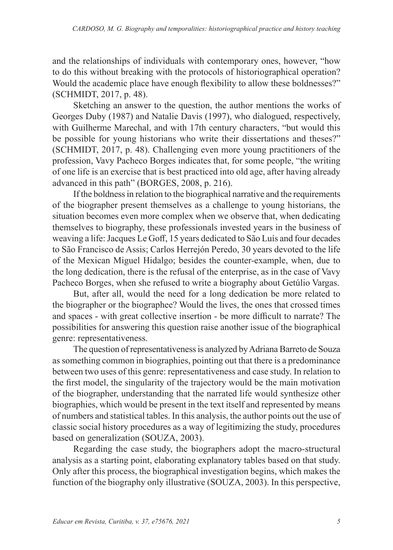and the relationships of individuals with contemporary ones, however, "how to do this without breaking with the protocols of historiographical operation? Would the academic place have enough flexibility to allow these boldnesses?" (SCHMIDT, 2017, p. 48).

Sketching an answer to the question, the author mentions the works of Georges Duby (1987) and Natalie Davis (1997), who dialogued, respectively, with Guilherme Marechal, and with 17th century characters, "but would this be possible for young historians who write their dissertations and theses?" (SCHMIDT, 2017, p. 48). Challenging even more young practitioners of the profession, Vavy Pacheco Borges indicates that, for some people, "the writing of one life is an exercise that is best practiced into old age, after having already advanced in this path" (BORGES, 2008, p. 216).

If the boldness in relation to the biographical narrative and the requirements of the biographer present themselves as a challenge to young historians, the situation becomes even more complex when we observe that, when dedicating themselves to biography, these professionals invested years in the business of weaving a life: Jacques Le Goff, 15 years dedicated to São Luís and four decades to São Francisco de Assis; Carlos Herrejón Peredo, 30 years devoted to the life of the Mexican Miguel Hidalgo; besides the counter-example, when, due to the long dedication, there is the refusal of the enterprise, as in the case of Vavy Pacheco Borges, when she refused to write a biography about Getúlio Vargas.

But, after all, would the need for a long dedication be more related to the biographer or the biographee? Would the lives, the ones that crossed times and spaces - with great collective insertion - be more difficult to narrate? The possibilities for answering this question raise another issue of the biographical genre: representativeness.

The question of representativeness is analyzed by Adriana Barreto de Souza as something common in biographies, pointing out that there is a predominance between two uses of this genre: representativeness and case study. In relation to the first model, the singularity of the trajectory would be the main motivation of the biographer, understanding that the narrated life would synthesize other biographies, which would be present in the text itself and represented by means of numbers and statistical tables. In this analysis, the author points out the use of classic social history procedures as a way of legitimizing the study, procedures based on generalization (SOUZA, 2003).

Regarding the case study, the biographers adopt the macro-structural analysis as a starting point, elaborating explanatory tables based on that study. Only after this process, the biographical investigation begins, which makes the function of the biography only illustrative (SOUZA, 2003). In this perspective,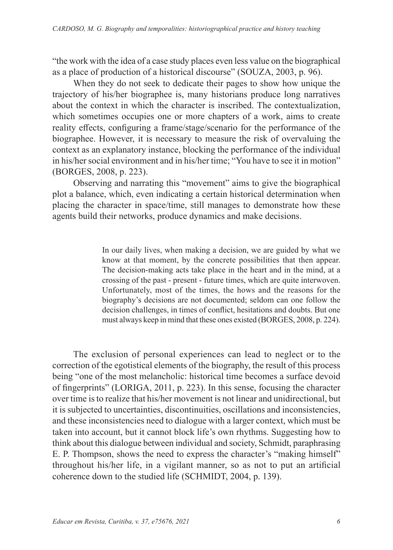"the work with the idea of a case study places even less value on the biographical as a place of production of a historical discourse" (SOUZA, 2003, p. 96).

When they do not seek to dedicate their pages to show how unique the trajectory of his/her biographee is, many historians produce long narratives about the context in which the character is inscribed. The contextualization, which sometimes occupies one or more chapters of a work, aims to create reality effects, configuring a frame/stage/scenario for the performance of the biographee. However, it is necessary to measure the risk of overvaluing the context as an explanatory instance, blocking the performance of the individual in his/her social environment and in his/her time; "You have to see it in motion" (BORGES, 2008, p. 223).

Observing and narrating this "movement" aims to give the biographical plot a balance, which, even indicating a certain historical determination when placing the character in space/time, still manages to demonstrate how these agents build their networks, produce dynamics and make decisions.

> In our daily lives, when making a decision, we are guided by what we know at that moment, by the concrete possibilities that then appear. The decision-making acts take place in the heart and in the mind, at a crossing of the past - present - future times, which are quite interwoven. Unfortunately, most of the times, the hows and the reasons for the biography's decisions are not documented; seldom can one follow the decision challenges, in times of conflict, hesitations and doubts. But one must always keep in mind that these ones existed (BORGES, 2008, p. 224).

The exclusion of personal experiences can lead to neglect or to the correction of the egotistical elements of the biography, the result of this process being "one of the most melancholic: historical time becomes a surface devoid of fingerprints" (LORIGA, 2011, p. 223). In this sense, focusing the character over time is to realize that his/her movement is not linear and unidirectional, but it is subjected to uncertainties, discontinuities, oscillations and inconsistencies, and these inconsistencies need to dialogue with a larger context, which must be taken into account, but it cannot block life's own rhythms. Suggesting how to think about this dialogue between individual and society, Schmidt, paraphrasing E. P. Thompson, shows the need to express the character's "making himself" throughout his/her life, in a vigilant manner, so as not to put an artificial coherence down to the studied life (SCHMIDT, 2004, p. 139).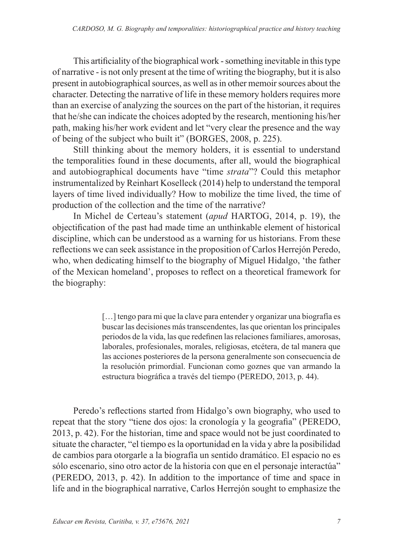This artificiality of the biographical work - something inevitable in this type of narrative - is not only present at the time of writing the biography, but it is also present in autobiographical sources, as well as in other memoir sources about the character. Detecting the narrative of life in these memory holders requires more than an exercise of analyzing the sources on the part of the historian, it requires that he/she can indicate the choices adopted by the research, mentioning his/her path, making his/her work evident and let "very clear the presence and the way of being of the subject who built it" (BORGES, 2008, p. 225).

Still thinking about the memory holders, it is essential to understand the temporalities found in these documents, after all, would the biographical and autobiographical documents have "time *strata*"? Could this metaphor instrumentalized by Reinhart Koselleck (2014) help to understand the temporal layers of time lived individually? How to mobilize the time lived, the time of production of the collection and the time of the narrative?

In Michel de Certeau's statement (*apud* HARTOG, 2014, p. 19), the objectification of the past had made time an unthinkable element of historical discipline, which can be understood as a warning for us historians. From these reflections we can seek assistance in the proposition of Carlos Herrejón Peredo, who, when dedicating himself to the biography of Miguel Hidalgo, 'the father of the Mexican homeland', proposes to reflect on a theoretical framework for the biography:

> [...] tengo para mi que la clave para entender y organizar una biografía es buscar las decisiones más transcendentes, las que orientan los principales periodos de la vida, las que redefinen las relaciones familiares, amorosas, laborales, profesionales, morales, religiosas, etcétera, de tal manera que las acciones posteriores de la persona generalmente son consecuencia de la resolución primordial. Funcionan como goznes que van armando la estructura biográfica a través del tiempo (PEREDO, 2013, p. 44).

Peredo's reflections started from Hidalgo's own biography, who used to repeat that the story "tiene dos ojos: la cronología y la geografia" (PEREDO, 2013, p. 42). For the historian, time and space would not be just coordinated to situate the character, "el tiempo es la oportunidad en la vida y abre la posibilidad de cambios para otorgarle a la biografía un sentido dramático. El espacio no es sólo escenario, sino otro actor de la historia con que en el personaje interactúa" (PEREDO, 2013, p. 42). In addition to the importance of time and space in life and in the biographical narrative, Carlos Herrejón sought to emphasize the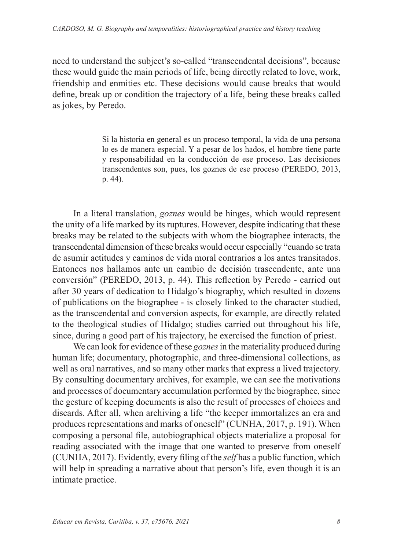need to understand the subject's so-called "transcendental decisions", because these would guide the main periods of life, being directly related to love, work, friendship and enmities etc. These decisions would cause breaks that would define, break up or condition the trajectory of a life, being these breaks called as jokes, by Peredo.

> Si la historia en general es un proceso temporal, la vida de una persona lo es de manera especial. Y a pesar de los hados, el hombre tiene parte y responsabilidad en la conducción de ese proceso. Las decisiones transcendentes son, pues, los goznes de ese proceso (PEREDO, 2013, p. 44).

In a literal translation, *goznes* would be hinges, which would represent the unity of a life marked by its ruptures. However, despite indicating that these breaks may be related to the subjects with whom the biographee interacts, the transcendental dimension of these breaks would occur especially "cuando se trata de asumir actitudes y caminos de vida moral contrarios a los antes transitados. Entonces nos hallamos ante un cambio de decisión trascendente, ante una conversión" (PEREDO, 2013, p. 44). This reflection by Peredo - carried out after 30 years of dedication to Hidalgo's biography, which resulted in dozens of publications on the biographee - is closely linked to the character studied, as the transcendental and conversion aspects, for example, are directly related to the theological studies of Hidalgo; studies carried out throughout his life, since, during a good part of his trajectory, he exercised the function of priest.

We can look for evidence of these *goznes* in the materiality produced during human life; documentary, photographic, and three-dimensional collections, as well as oral narratives, and so many other marks that express a lived trajectory. By consulting documentary archives, for example, we can see the motivations and processes of documentary accumulation performed by the biographee, since the gesture of keeping documents is also the result of processes of choices and discards. After all, when archiving a life "the keeper immortalizes an era and produces representations and marks of oneself" (CUNHA, 2017, p. 191). When composing a personal file, autobiographical objects materialize a proposal for reading associated with the image that one wanted to preserve from oneself (CUNHA, 2017). Evidently, every filing of the *self* has a public function, which will help in spreading a narrative about that person's life, even though it is an intimate practice.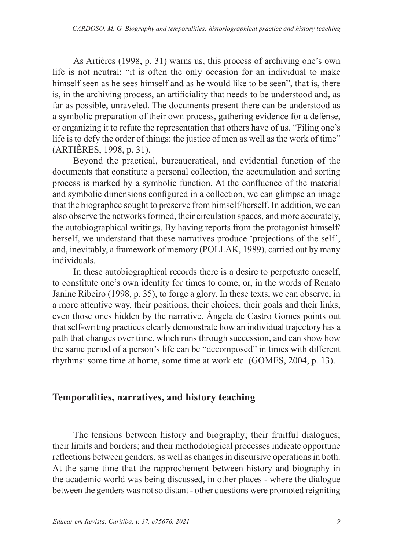As Artières (1998, p. 31) warns us, this process of archiving one's own life is not neutral; "it is often the only occasion for an individual to make himself seen as he sees himself and as he would like to be seen", that is, there is, in the archiving process, an artificiality that needs to be understood and, as far as possible, unraveled. The documents present there can be understood as a symbolic preparation of their own process, gathering evidence for a defense, or organizing it to refute the representation that others have of us. "Filing one's life is to defy the order of things: the justice of men as well as the work of time" (ARTIÈRES, 1998, p. 31).

Beyond the practical, bureaucratical, and evidential function of the documents that constitute a personal collection, the accumulation and sorting process is marked by a symbolic function. At the confluence of the material and symbolic dimensions configured in a collection, we can glimpse an image that the biographee sought to preserve from himself/herself. In addition, we can also observe the networks formed, their circulation spaces, and more accurately, the autobiographical writings. By having reports from the protagonist himself/ herself, we understand that these narratives produce 'projections of the self', and, inevitably, a framework of memory (POLLAK, 1989), carried out by many individuals.

In these autobiographical records there is a desire to perpetuate oneself, to constitute one's own identity for times to come, or, in the words of Renato Janine Ribeiro (1998, p. 35), to forge a glory. In these texts, we can observe, in a more attentive way, their positions, their choices, their goals and their links, even those ones hidden by the narrative. Ângela de Castro Gomes points out that self-writing practices clearly demonstrate how an individual trajectory has a path that changes over time, which runs through succession, and can show how the same period of a person's life can be "decomposed" in times with different rhythms: some time at home, some time at work etc. (GOMES, 2004, p. 13).

### **Temporalities, narratives, and history teaching**

The tensions between history and biography; their fruitful dialogues; their limits and borders; and their methodological processes indicate opportune reflections between genders, as well as changes in discursive operations in both. At the same time that the rapprochement between history and biography in the academic world was being discussed, in other places - where the dialogue between the genders was not so distant - other questions were promoted reigniting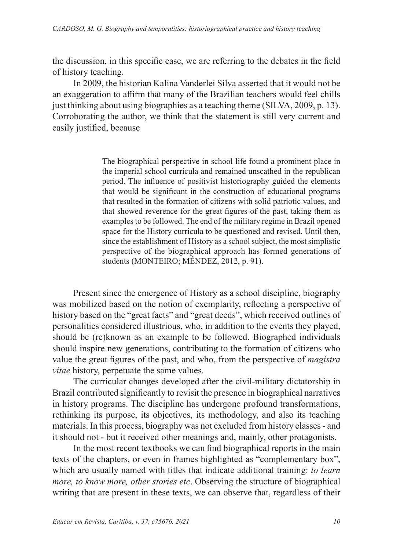the discussion, in this specific case, we are referring to the debates in the field of history teaching.

In 2009, the historian Kalina Vanderlei Silva asserted that it would not be an exaggeration to affirm that many of the Brazilian teachers would feel chills just thinking about using biographies as a teaching theme (SILVA, 2009, p. 13). Corroborating the author, we think that the statement is still very current and easily justified, because

> The biographical perspective in school life found a prominent place in the imperial school curricula and remained unscathed in the republican period. The influence of positivist historiography guided the elements that would be significant in the construction of educational programs that resulted in the formation of citizens with solid patriotic values, and that showed reverence for the great figures of the past, taking them as examples to be followed. The end of the military regime in Brazil opened space for the History curricula to be questioned and revised. Until then, since the establishment of History as a school subject, the most simplistic perspective of the biographical approach has formed generations of students (MONTEIRO; MÉNDEZ, 2012, p. 91).

Present since the emergence of History as a school discipline, biography was mobilized based on the notion of exemplarity, reflecting a perspective of history based on the "great facts" and "great deeds", which received outlines of personalities considered illustrious, who, in addition to the events they played, should be (re)known as an example to be followed. Biographed individuals should inspire new generations, contributing to the formation of citizens who value the great figures of the past, and who, from the perspective of *magistra vitae* history, perpetuate the same values.

The curricular changes developed after the civil-military dictatorship in Brazil contributed significantly to revisit the presence in biographical narratives in history programs. The discipline has undergone profound transformations, rethinking its purpose, its objectives, its methodology, and also its teaching materials. In this process, biography was not excluded from history classes - and it should not - but it received other meanings and, mainly, other protagonists.

In the most recent textbooks we can find biographical reports in the main texts of the chapters, or even in frames highlighted as "complementary box", which are usually named with titles that indicate additional training: *to learn more, to know more, other stories etc*. Observing the structure of biographical writing that are present in these texts, we can observe that, regardless of their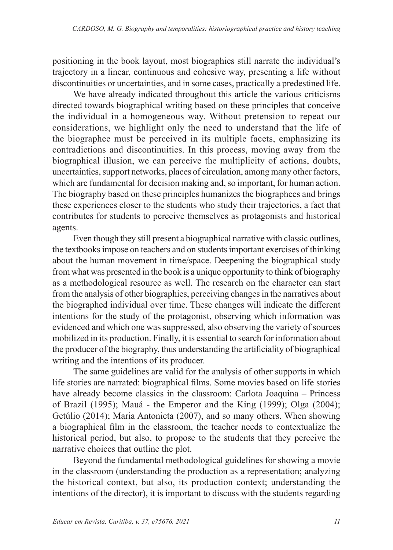positioning in the book layout, most biographies still narrate the individual's trajectory in a linear, continuous and cohesive way, presenting a life without discontinuities or uncertainties, and in some cases, practically a predestined life.

We have already indicated throughout this article the various criticisms directed towards biographical writing based on these principles that conceive the individual in a homogeneous way. Without pretension to repeat our considerations, we highlight only the need to understand that the life of the biographee must be perceived in its multiple facets, emphasizing its contradictions and discontinuities. In this process, moving away from the biographical illusion, we can perceive the multiplicity of actions, doubts, uncertainties, support networks, places of circulation, among many other factors, which are fundamental for decision making and, so important, for human action. The biography based on these principles humanizes the biographees and brings these experiences closer to the students who study their trajectories, a fact that contributes for students to perceive themselves as protagonists and historical agents.

Even though they still present a biographical narrative with classic outlines, the textbooks impose on teachers and on students important exercises of thinking about the human movement in time/space. Deepening the biographical study from what was presented in the book is a unique opportunity to think of biography as a methodological resource as well. The research on the character can start from the analysis of other biographies, perceiving changes in the narratives about the biographed individual over time. These changes will indicate the different intentions for the study of the protagonist, observing which information was evidenced and which one was suppressed, also observing the variety of sources mobilized in its production. Finally, it is essential to search for information about the producer of the biography, thus understanding the artificiality of biographical writing and the intentions of its producer.

The same guidelines are valid for the analysis of other supports in which life stories are narrated: biographical films. Some movies based on life stories have already become classics in the classroom: Carlota Joaquina – Princess of Brazil (1995); Mauá - the Emperor and the King (1999); Olga (2004); Getúlio (2014); Maria Antonieta (2007), and so many others. When showing a biographical film in the classroom, the teacher needs to contextualize the historical period, but also, to propose to the students that they perceive the narrative choices that outline the plot.

Beyond the fundamental methodological guidelines for showing a movie in the classroom (understanding the production as a representation; analyzing the historical context, but also, its production context; understanding the intentions of the director), it is important to discuss with the students regarding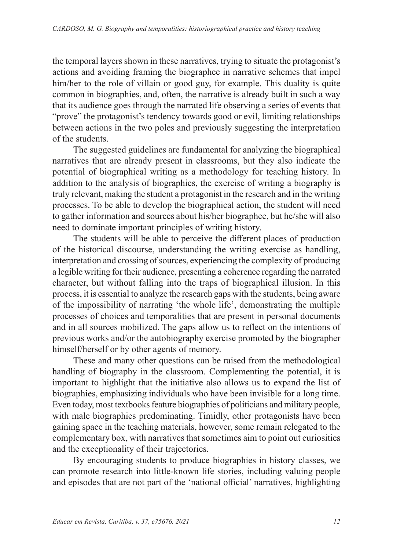the temporal layers shown in these narratives, trying to situate the protagonist's actions and avoiding framing the biographee in narrative schemes that impel him/her to the role of villain or good guy, for example. This duality is quite common in biographies, and, often, the narrative is already built in such a way that its audience goes through the narrated life observing a series of events that "prove" the protagonist's tendency towards good or evil, limiting relationships between actions in the two poles and previously suggesting the interpretation of the students.

The suggested guidelines are fundamental for analyzing the biographical narratives that are already present in classrooms, but they also indicate the potential of biographical writing as a methodology for teaching history. In addition to the analysis of biographies, the exercise of writing a biography is truly relevant, making the student a protagonist in the research and in the writing processes. To be able to develop the biographical action, the student will need to gather information and sources about his/her biographee, but he/she will also need to dominate important principles of writing history.

The students will be able to perceive the different places of production of the historical discourse, understanding the writing exercise as handling, interpretation and crossing of sources, experiencing the complexity of producing a legible writing for their audience, presenting a coherence regarding the narrated character, but without falling into the traps of biographical illusion. In this process, it is essential to analyze the research gaps with the students, being aware of the impossibility of narrating 'the whole life', demonstrating the multiple processes of choices and temporalities that are present in personal documents and in all sources mobilized. The gaps allow us to reflect on the intentions of previous works and/or the autobiography exercise promoted by the biographer himself/herself or by other agents of memory.

These and many other questions can be raised from the methodological handling of biography in the classroom. Complementing the potential, it is important to highlight that the initiative also allows us to expand the list of biographies, emphasizing individuals who have been invisible for a long time. Even today, most textbooks feature biographies of politicians and military people, with male biographies predominating. Timidly, other protagonists have been gaining space in the teaching materials, however, some remain relegated to the complementary box, with narratives that sometimes aim to point out curiosities and the exceptionality of their trajectories.

By encouraging students to produce biographies in history classes, we can promote research into little-known life stories, including valuing people and episodes that are not part of the 'national official' narratives, highlighting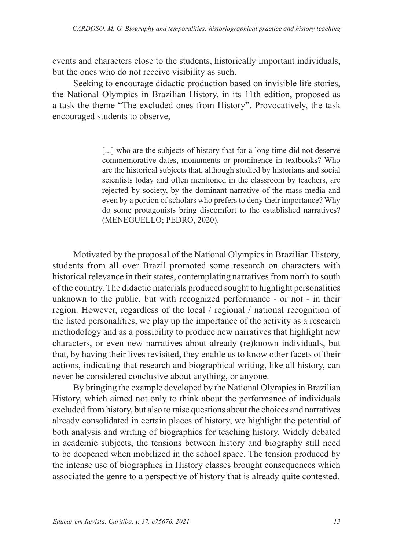events and characters close to the students, historically important individuals, but the ones who do not receive visibility as such.

Seeking to encourage didactic production based on invisible life stories, the National Olympics in Brazilian History, in its 11th edition, proposed as a task the theme "The excluded ones from History". Provocatively, the task encouraged students to observe,

> [...] who are the subjects of history that for a long time did not deserve commemorative dates, monuments or prominence in textbooks? Who are the historical subjects that, although studied by historians and social scientists today and often mentioned in the classroom by teachers, are rejected by society, by the dominant narrative of the mass media and even by a portion of scholars who prefers to deny their importance? Why do some protagonists bring discomfort to the established narratives? (MENEGUELLO; PEDRO, 2020).

Motivated by the proposal of the National Olympics in Brazilian History, students from all over Brazil promoted some research on characters with historical relevance in their states, contemplating narratives from north to south of the country. The didactic materials produced sought to highlight personalities unknown to the public, but with recognized performance - or not - in their region. However, regardless of the local / regional / national recognition of the listed personalities, we play up the importance of the activity as a research methodology and as a possibility to produce new narratives that highlight new characters, or even new narratives about already (re)known individuals, but that, by having their lives revisited, they enable us to know other facets of their actions, indicating that research and biographical writing, like all history, can never be considered conclusive about anything, or anyone.

By bringing the example developed by the National Olympics in Brazilian History, which aimed not only to think about the performance of individuals excluded from history, but also to raise questions about the choices and narratives already consolidated in certain places of history, we highlight the potential of both analysis and writing of biographies for teaching history. Widely debated in academic subjects, the tensions between history and biography still need to be deepened when mobilized in the school space. The tension produced by the intense use of biographies in History classes brought consequences which associated the genre to a perspective of history that is already quite contested.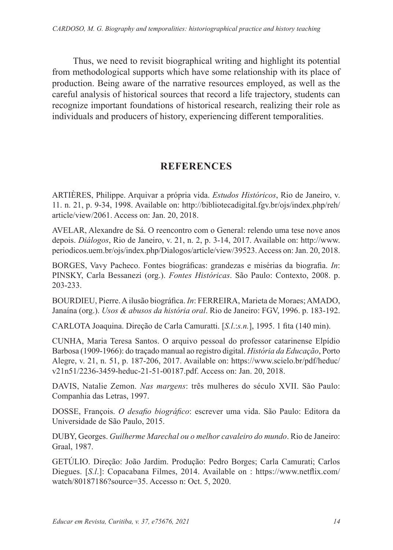Thus, we need to revisit biographical writing and highlight its potential from methodological supports which have some relationship with its place of production. Being aware of the narrative resources employed, as well as the careful analysis of historical sources that record a life trajectory, students can recognize important foundations of historical research, realizing their role as individuals and producers of history, experiencing different temporalities.

### **REFERENCES**

ARTIÈRES, Philippe. Arquivar a própria vida. *Estudos Históricos*, Rio de Janeiro, v. 11. n. 21, p. 9-34, 1998. Available on: http://bibliotecadigital.fgv.br/ojs/index.php/reh/ article/view/2061. Access on: Jan. 20, 2018.

AVELAR, Alexandre de Sá. O reencontro com o General: relendo uma tese nove anos depois. *Diálogos*, Rio de Janeiro, v. 21, n. 2, p. 3-14, 2017. Available on: http://www. periodicos.uem.br/ojs/index.php/Dialogos/article/view/39523. Access on: Jan. 20, 2018.

BORGES, Vavy Pacheco. Fontes biográficas: grandezas e misérias da biografia. *In*: PINSKY, Carla Bessanezi (org.). *Fontes Históricas*. São Paulo: Contexto, 2008. p. 203-233.

BOURDIEU, Pierre. A ilusão biográfica. *In*: FERREIRA, Marieta de Moraes; AMADO, Janaína (org.). *Usos & abusos da história oral*. Rio de Janeiro: FGV, 1996. p. 183-192.

CARLOTA Joaquina. Direção de Carla Camuratti. [*S.l*.:*s.n.*], 1995. 1 fita (140 min).

CUNHA, Maria Teresa Santos. O arquivo pessoal do professor catarinense Elpídio Barbosa (1909-1966): do traçado manual ao registro digital. *História da Educação*, Porto Alegre, v. 21, n. 51, p. 187-206, 2017. Available on: https://www.scielo.br/pdf/heduc/ v21n51/2236-3459-heduc-21-51-00187.pdf. Access on: Jan. 20, 2018.

DAVIS, Natalie Zemon. *Nas margens*: três mulheres do século XVII. São Paulo: Companhia das Letras, 1997.

DOSSE, François. *O desafio biográfico*: escrever uma vida. São Paulo: Editora da Universidade de São Paulo, 2015.

DUBY, Georges. *Guilherme Marechal ou o melhor cavaleiro do mundo*. Rio de Janeiro: Graal, 1987.

GETÚLIO. Direção: João Jardim. Produção: Pedro Borges; Carla Camurati; Carlos Diegues. [*S.l*.]: Copacabana Filmes, 2014. Available on : https://www.netflix.com/ watch/80187186?source=35. Accesso n: Oct. 5, 2020.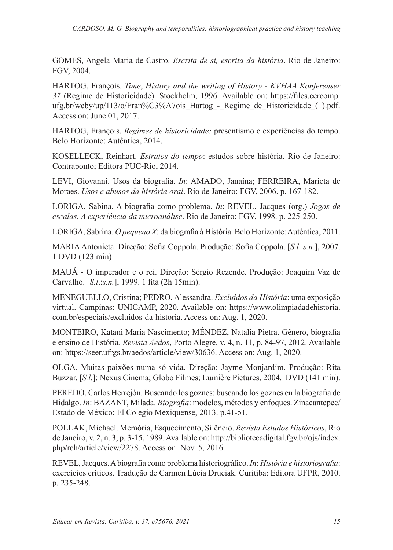GOMES, Angela Maria de Castro. *Escrita de si, escrita da história*. Rio de Janeiro: FGV, 2004.

HARTOG, François. *Time*, *History and the writing of History - KVHAA Konferenser 37* (Regime de Historicidade). Stockholm, 1996. Available on: https://files.cercomp. ufg.br/weby/up/113/o/Fran%C3%A7ois Hartog - Regime de Historicidade (1).pdf. Access on: June 01, 2017.

HARTOG, François. *Regimes de historicidade:* presentismo e experiências do tempo. Belo Horizonte: Autêntica, 2014.

KOSELLECK, Reinhart. *Estratos do tempo*: estudos sobre história. Rio de Janeiro: Contraponto; Editora PUC-Rio, 2014.

LEVI, Giovanni. Usos da biografia. *In*: AMADO, Janaína; FERREIRA, Marieta de Moraes. *Usos e abusos da história oral*. Rio de Janeiro: FGV, 2006. p. 167-182.

LORIGA, Sabina. A biografia como problema. *In*: REVEL, Jacques (org.) *Jogos de escalas. A experiência da microanálise*. Rio de Janeiro: FGV, 1998. p. 225-250.

LORIGA, Sabrina. *O pequeno X*: da biografia à História. Belo Horizonte: Autêntica, 2011.

MARIA Antonieta. Direção: Sofia Coppola. Produção: Sofia Coppola. [*S.l*.:*s.n.*], 2007. 1 DVD (123 min)

MAUÁ - O imperador e o rei. Direção: Sérgio Rezende. Produção: Joaquim Vaz de Carvalho. [*S.l*.:*s.n.*], 1999. 1 fita (2h 15min).

MENEGUELLO, Cristina; PEDRO, Alessandra. *Excluídos da História*: uma exposição virtual. Campinas: UNICAMP, 2020. Available on: https://www.olimpiadadehistoria. com.br/especiais/excluidos-da-historia. Access on: Aug. 1, 2020.

MONTEIRO, Katani Maria Nascimento; MÉNDEZ, Natalia Pietra. Gênero, biografia e ensino de História. *Revista Aedos*, Porto Alegre, v. 4, n. 11, p. 84-97, 2012. Available on: https://seer.ufrgs.br/aedos/article/view/30636. Access on: Aug. 1, 2020.

OLGA. Muitas paixões numa só vida. Direção: Jayme Monjardim. Produção: Rita Buzzar. [*S.l*.]: Nexus Cinema; Globo Filmes; Lumière Pictures, 2004. DVD (141 min).

PEREDO, Carlos Herrejón. Buscando los goznes: buscando los goznes en la biografia de Hidalgo. *In*: BAZANT, Milada. *Biografia*: modelos, métodos y enfoques. Zinacantepec/ Estado de México: El Colegio Mexiquense, 2013. p.41-51.

POLLAK, Michael. Memória, Esquecimento, Silêncio. *Revista Estudos Históricos*, Rio de Janeiro, v. 2, n. 3, p. 3-15, 1989. Available on: http://bibliotecadigital.fgv.br/ojs/index. php/reh/article/view/2278. Access on: Nov. 5, 2016.

REVEL, Jacques. A biografia como problema historiográfico. *In*: *História e historiografia*: exercícios críticos. Tradução de Carmen Lúcia Druciak. Curitiba: Editora UFPR, 2010. p. 235-248.